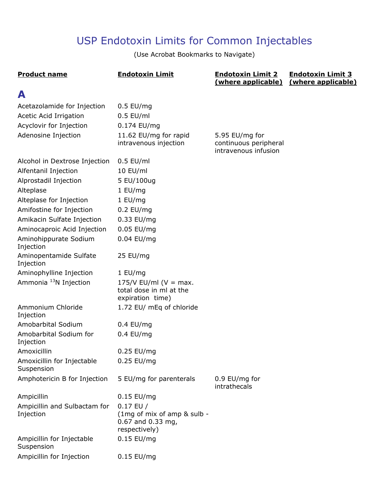# USP Endotoxin Limits for Common Injectables

(Use Acrobat Bookmarks to Navigate)

| <b>Product name</b>                                                                                            | <b>Endotoxin Limit</b>                                                           | <b>Endotoxin Limit 2</b><br>(where applicable) | <b>Endotoxin Limit 3</b><br>(where applicable) |
|----------------------------------------------------------------------------------------------------------------|----------------------------------------------------------------------------------|------------------------------------------------|------------------------------------------------|
| A                                                                                                              |                                                                                  |                                                |                                                |
| Acetazolamide for Injection<br>Acetic Acid Irrigation<br>Acyclovir for Injection<br>Adenosine Injection        | $0.5$ EU/mg<br>$0.5$ EU/ml<br>0.174 EU/mg<br>11.62 EU/mg for rapid               | 5.95 EU/mg for                                 |                                                |
|                                                                                                                | intravenous injection                                                            | continuous peripheral<br>intravenous infusion  |                                                |
| Alcohol in Dextrose Injection<br>Alfentanil Injection<br>Alprostadil Injection<br>Alteplase                    | $0.5$ EU/ml<br>10 EU/ml<br>5 EU/100ug<br>1 EU/mg                                 |                                                |                                                |
| Alteplase for Injection                                                                                        | 1 EU/mg                                                                          |                                                |                                                |
| Amifostine for Injection<br>Amikacin Sulfate Injection<br>Aminocaproic Acid Injection<br>Aminohippurate Sodium | $0.2$ EU/mg<br>0.33 EU/mg<br>0.05 EU/mg<br>0.04 EU/mg                            |                                                |                                                |
| Injection<br>Aminopentamide Sulfate<br>Injection                                                               | 25 EU/mg                                                                         |                                                |                                                |
| Aminophylline Injection                                                                                        | 1 EU/mg                                                                          |                                                |                                                |
| Ammonia <sup>13</sup> N Injection                                                                              | 175/V EU/ml ( $V = max$ .<br>total dose in ml at the<br>expiration time)         |                                                |                                                |
| Ammonium Chloride<br>Injection                                                                                 | 1.72 EU/ mEq of chloride                                                         |                                                |                                                |
| Amobarbital Sodium                                                                                             | $0.4$ EU/mq                                                                      |                                                |                                                |
| Amobarbital Sodium for<br>Injection                                                                            | $0.4$ EU/mg                                                                      |                                                |                                                |
| Amoxicillin                                                                                                    | 0.25 EU/mg                                                                       |                                                |                                                |
| Amoxicillin for Injectable<br>Suspension                                                                       | 0.25 EU/mg                                                                       |                                                |                                                |
| Amphotericin B for Injection                                                                                   | 5 EU/mg for parenterals                                                          | 0.9 EU/mg for<br>intrathecals                  |                                                |
| Ampicillin                                                                                                     | $0.15$ EU/mg                                                                     |                                                |                                                |
| Ampicillin and Sulbactam for<br>Injection                                                                      | $0.17$ EU /<br>(1mg of mix of amp & sulb -<br>0.67 and 0.33 mg,<br>respectively) |                                                |                                                |
| Ampicillin for Injectable<br>Suspension                                                                        | $0.15$ EU/mg                                                                     |                                                |                                                |
| Ampicillin for Injection                                                                                       | $0.15$ EU/mg                                                                     |                                                |                                                |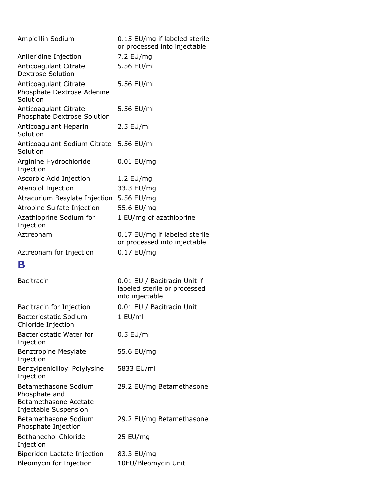| Ampicillin Sodium                                               | 0.15 EU/mg if labeled sterile<br>or processed into injectable                   |
|-----------------------------------------------------------------|---------------------------------------------------------------------------------|
| Anileridine Injection                                           | 7.2 EU/mg                                                                       |
| Anticoagulant Citrate<br>Dextrose Solution                      | 5.56 EU/ml                                                                      |
| Anticoagulant Citrate<br>Phosphate Dextrose Adenine<br>Solution | 5.56 EU/ml                                                                      |
| Anticoagulant Citrate<br>Phosphate Dextrose Solution            | 5.56 EU/ml                                                                      |
| Anticoagulant Heparin<br>Solution                               | $2.5$ EU/ml                                                                     |
| Anticoagulant Sodium Citrate<br>Solution                        | 5.56 EU/ml                                                                      |
| Arginine Hydrochloride<br>Injection                             | 0.01 EU/mg                                                                      |
| Ascorbic Acid Injection                                         | 1.2 EU/mg                                                                       |
| Atenolol Injection                                              | 33.3 EU/mg                                                                      |
| Atracurium Besylate Injection                                   | 5.56 EU/mg                                                                      |
| Atropine Sulfate Injection                                      | 55.6 EU/mg                                                                      |
| Azathioprine Sodium for<br>Injection                            | 1 EU/mg of azathioprine                                                         |
| Aztreonam                                                       | 0.17 EU/mg if labeled sterile<br>or processed into injectable                   |
| Aztreonam for Injection                                         | 0.17 EU/mg                                                                      |
| В                                                               |                                                                                 |
| <b>Bacitracin</b>                                               | 0.01 EU / Bacitracin Unit if<br>labeled sterile or processed<br>into injectable |
| Bacitracin for Injection                                        | 0.01 EU / Bacitracin Unit                                                       |
| <b>Bacteriostatic Sodium</b><br>Chloride Injection              | 1 EU/ml                                                                         |
| Bacteriostatic Water for<br>Injection                           | $0.5$ EU/ml                                                                     |
| <b>Benztropine Mesylate</b><br>Injection                        | 55.6 EU/mg                                                                      |
| Benzylpenicilloyl Polylysine<br>Injection                       | 5833 EU/ml                                                                      |
| Betamethasone Sodium<br>Phosphate and                           | 29.2 EU/mg Betamethasone                                                        |
| Betamethasone Acetate<br>Injectable Suspension                  |                                                                                 |
| Betamethasone Sodium<br>Phosphate Injection                     | 29.2 EU/mg Betamethasone                                                        |
| <b>Bethanechol Chloride</b><br>Injection                        | 25 EU/mg                                                                        |
| Biperiden Lactate Injection                                     | 83.3 EU/mg                                                                      |
| Bleomycin for Injection                                         | 10EU/Bleomycin Unit                                                             |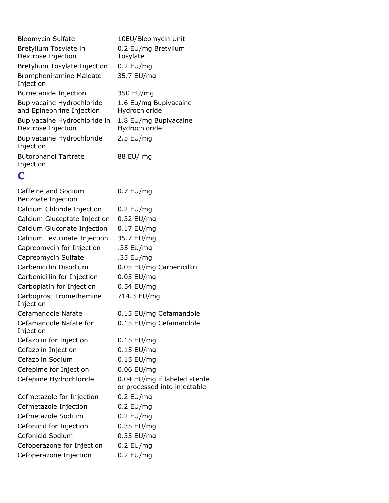| <b>Bleomycin Sulfate</b>                               | 10EU/Bleomycin Unit                    |
|--------------------------------------------------------|----------------------------------------|
| Bretylium Tosylate in<br>Dextrose Injection            | 0.2 EU/mg Bretylium<br>Tosylate        |
| Bretylium Tosylate Injection                           | $0.2$ EU/mg                            |
| <b>Brompheniramine Maleate</b><br>Injection            | 35.7 EU/mg                             |
| Bumetanide Injection                                   | 350 EU/mg                              |
| Bupivacaine Hydrochloride<br>and Epinephrine Injection | 1.6 Eu/mg Bupivacaine<br>Hydrochloride |
| Bupivacaine Hydrochloride in<br>Dextrose Injection     | 1.8 EU/mg Bupivacaine<br>Hydrochloride |
| Bupivacaine Hydrochloride<br>Injection                 | $2.5$ EU/mg                            |
| <b>Butorphanol Tartrate</b><br>Injection               | 88 EU/ mg                              |
|                                                        |                                        |

### **C**

| Caffeine and Sodium<br>Benzoate Injection | 0.7 EU/mg                                                     |
|-------------------------------------------|---------------------------------------------------------------|
| Calcium Chloride Injection                | $0.2$ EU/mg                                                   |
| Calcium Gluceptate Injection              | 0.32 EU/mg                                                    |
| Calcium Gluconate Injection               | 0.17 EU/mg                                                    |
| Calcium Levulinate Injection              | 35.7 EU/mg                                                    |
| Capreomycin for Injection                 | .35 EU/mg                                                     |
| Capreomycin Sulfate                       | .35 EU/mg                                                     |
| Carbenicillin Disodium                    | 0.05 EU/mg Carbenicillin                                      |
| Carbenicillin for Injection               | 0.05 EU/mg                                                    |
| Carboplatin for Injection                 | 0.54 EU/mg                                                    |
| Carboprost Tromethamine<br>Injection      | 714.3 EU/mg                                                   |
| Cefamandole Nafate                        | 0.15 EU/mg Cefamandole                                        |
| Cefamandole Nafate for<br>Injection       | 0.15 EU/mg Cefamandole                                        |
| Cefazolin for Injection                   | $0.15$ EU/mg                                                  |
| Cefazolin Injection                       | 0.15 EU/mg                                                    |
| Cefazolin Sodium                          | 0.15 EU/mg                                                    |
| Cefepime for Injection                    | 0.06 EU/mg                                                    |
| Cefepime Hydrochloride                    | 0.04 EU/mg if labeled sterile<br>or processed into injectable |
| Cefmetazole for Injection                 | 0.2 EU/mg                                                     |
| Cefmetazole Injection                     | $0.2$ EU/mg                                                   |
| Cefmetazole Sodium                        | $0.2$ EU/mg                                                   |
| Cefonicid for Injection                   | 0.35 EU/mg                                                    |
| Cefonicid Sodium                          | 0.35 EU/mg                                                    |
| Cefoperazone for Injection                | $0.2$ EU/mg                                                   |
| Cefoperazone Injection                    | 0.2 EU/mg                                                     |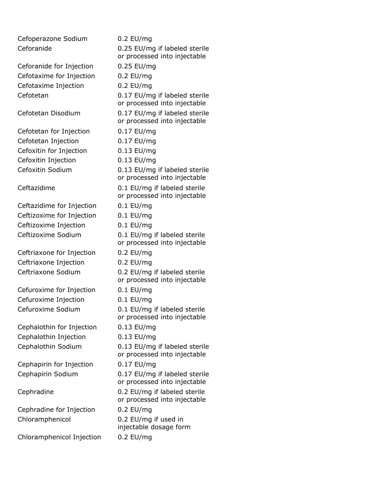| Cefoperazone Sodium       | $0.2$ EU/mg                                                   |
|---------------------------|---------------------------------------------------------------|
| Ceforanide                | 0.25 EU/mg if labeled sterile                                 |
|                           | or processed into injectable                                  |
| Ceforanide for Injection  | 0.25 EU/mg                                                    |
| Cefotaxime for Injection  | $0.2$ EU/mg                                                   |
| Cefotaxime Injection      | $0.2$ EU/mg                                                   |
| Cefotetan                 | 0.17 EU/mg if labeled sterile<br>or processed into injectable |
| Cefotetan Disodium        | 0.17 EU/mg if labeled sterile<br>or processed into injectable |
| Cefotetan for Injection   | 0.17 EU/mg                                                    |
| Cefotetan Injection       | 0.17 EU/mg                                                    |
| Cefoxitin for Injection   | 0.13 EU/mg                                                    |
| Cefoxitin Injection       | 0.13 EU/mg                                                    |
| Cefoxitin Sodium          | 0.13 EU/mg if labeled sterile<br>or processed into injectable |
| Ceftazidime               | 0.1 EU/mg if labeled sterile<br>or processed into injectable  |
| Ceftazidime for Injection | $0.1$ EU/mg                                                   |
| Ceftizoxime for Injection | $0.1$ EU/mg                                                   |
| Ceftizoxime Injection     | $0.1$ EU/mg                                                   |
| Ceftizoxime Sodium        | 0.1 EU/mg if labeled sterile<br>or processed into injectable  |
| Ceftriaxone for Injection | $0.2$ EU/mg                                                   |
| Ceftriaxone Injection     | $0.2$ EU/mg                                                   |
| Ceftriaxone Sodium        | 0.2 EU/mg if labeled sterile<br>or processed into injectable  |
| Cefuroxime for Injection  | $0.1$ EU/mg                                                   |
| Cefuroxime Injection      | $0.1$ EU/mg                                                   |
| Cefuroxime Sodium         | 0.1 EU/mg if labeled sterile<br>or processed into injectable  |
| Cephalothin for Injection | $0.13$ EU/mg                                                  |
| Cephalothin Injection     | 0.13 EU/mg                                                    |
| Cephalothin Sodium        | 0.13 EU/mg if labeled sterile<br>or processed into injectable |
| Cephapirin for Injection  | 0.17 EU/mg                                                    |
| Cephapirin Sodium         | 0.17 EU/mg if labeled sterile<br>or processed into injectable |
| Cephradine                | 0.2 EU/mg if labeled sterile<br>or processed into injectable  |
| Cephradine for Injection  | $0.2$ EU/mg                                                   |
| Chloramphenicol           | 0.2 EU/mg if used in<br>injectable dosage form                |
| Chloramphenicol Injection | $0.2$ EU/mg                                                   |
|                           |                                                               |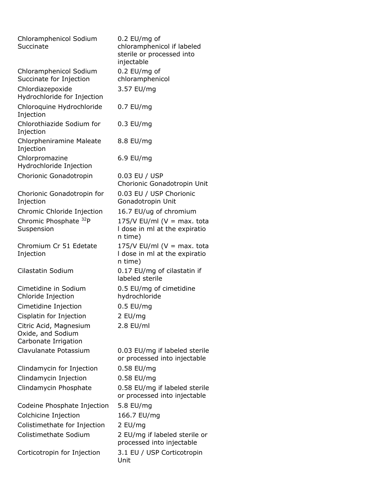| Chloramphenicol Sodium<br>Succinate                                 | $0.2$ EU/mg of<br>chloramphenicol if labeled<br>sterile or processed into<br>injectable |
|---------------------------------------------------------------------|-----------------------------------------------------------------------------------------|
| Chloramphenicol Sodium<br>Succinate for Injection                   | 0.2 EU/mg of<br>chloramphenicol                                                         |
| Chlordiazepoxide<br>Hydrochloride for Injection                     | 3.57 EU/mg                                                                              |
| Chloroquine Hydrochloride<br>Injection                              | $0.7$ EU/mg                                                                             |
| Chlorothiazide Sodium for<br>Injection                              | $0.3$ EU/mg                                                                             |
| Chlorpheniramine Maleate<br>Injection                               | 8.8 EU/mg                                                                               |
| Chlorpromazine<br>Hydrochloride Injection                           | 6.9 EU/mg                                                                               |
| Chorionic Gonadotropin                                              | 0.03 EU / USP<br>Chorionic Gonadotropin Unit                                            |
| Chorionic Gonadotropin for<br>Injection                             | 0.03 EU / USP Chorionic<br>Gonadotropin Unit                                            |
| Chromic Chloride Injection                                          | 16.7 EU/ug of chromium                                                                  |
| Chromic Phosphate <sup>32</sup> P<br>Suspension                     | 175/V EU/ml ( $V = max$ . tota<br>I dose in ml at the expiratio<br>n time)              |
| Chromium Cr 51 Edetate<br>Injection                                 | 175/V EU/ml ( $V = max$ . tota<br>I dose in ml at the expiratio<br>n time)              |
| Cilastatin Sodium                                                   | 0.17 EU/mg of cilastatin if<br>labeled sterile                                          |
| Cimetidine in Sodium<br>Chloride Injection                          | 0.5 EU/mg of cimetidine<br>hydrochloride                                                |
| Cimetidine Injection                                                | $0.5$ EU/mg                                                                             |
| Cisplatin for Injection                                             | 2 EU/mg                                                                                 |
| Citric Acid, Magnesium<br>Oxide, and Sodium<br>Carbonate Irrigation | 2.8 EU/ml                                                                               |
| Clavulanate Potassium                                               | 0.03 EU/mg if labeled sterile<br>or processed into injectable                           |
| Clindamycin for Injection                                           | 0.58 EU/mg                                                                              |
| Clindamycin Injection                                               | 0.58 EU/mg                                                                              |
| Clindamycin Phosphate                                               | 0.58 EU/mg if labeled sterile<br>or processed into injectable                           |
| Codeine Phosphate Injection                                         | 5.8 EU/mg                                                                               |
| Colchicine Injection                                                | 166.7 EU/mg                                                                             |
| Colistimethate for Injection                                        | 2 EU/mg                                                                                 |
| Colistimethate Sodium                                               | 2 EU/mg if labeled sterile or<br>processed into injectable                              |
| Corticotropin for Injection                                         | 3.1 EU / USP Corticotropin<br>Unit                                                      |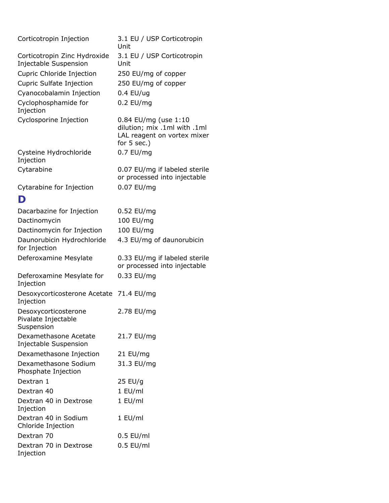| Corticotropin Injection                               | 3.1 EU / USP Corticotropin<br>Unit                            |
|-------------------------------------------------------|---------------------------------------------------------------|
| Corticotropin Zinc Hydroxide<br>Injectable Suspension | 3.1 EU / USP Corticotropin<br>Unit                            |
| Cupric Chloride Injection                             | 250 EU/mg of copper                                           |
| Cupric Sulfate Injection                              | 250 EU/mg of copper                                           |
| Cyanocobalamin Injection                              | $0.4$ EU/ug                                                   |
| Cyclophosphamide for                                  | $0.2$ EU/mg                                                   |
| Injection                                             |                                                               |
| Cyclosporine Injection                                | 0.84 EU/mg (use 1:10                                          |
|                                                       | dilution; mix .1ml with .1ml<br>LAL reagent on vortex mixer   |
|                                                       | for $5$ sec.)                                                 |
| Cysteine Hydrochloride                                | 0.7 EU/mg                                                     |
| Injection                                             |                                                               |
| Cytarabine                                            | 0.07 EU/mg if labeled sterile                                 |
|                                                       | or processed into injectable                                  |
| Cytarabine for Injection                              | 0.07 EU/mg                                                    |
| D                                                     |                                                               |
| Dacarbazine for Injection                             | 0.52 EU/mg                                                    |
| Dactinomycin                                          | 100 EU/mg                                                     |
| Dactinomycin for Injection                            | 100 EU/mg                                                     |
| Daunorubicin Hydrochloride<br>for Injection           | 4.3 EU/mg of daunorubicin                                     |
| Deferoxamine Mesylate                                 | 0.33 EU/mg if labeled sterile<br>or processed into injectable |
| Deferoxamine Mesylate for<br>Injection                | 0.33 EU/mg                                                    |
| Desoxycorticosterone Acetate 71.4 EU/mg<br>Injection  |                                                               |
| Desoxycorticosterone<br>Pivalate Injectable           | 2.78 EU/mg                                                    |
| Suspension                                            |                                                               |
| Dexamethasone Acetate<br>Injectable Suspension        | 21.7 EU/mg                                                    |
| Dexamethasone Injection                               | 21 EU/mg                                                      |
| Dexamethasone Sodium<br>Phosphate Injection           | 31.3 EU/mg                                                    |
| Dextran 1                                             | $25$ EU/g                                                     |
| Dextran 40                                            | 1 EU/ml                                                       |
| Dextran 40 in Dextrose<br>Injection                   | 1 EU/ml                                                       |
| Dextran 40 in Sodium<br>Chloride Injection            | 1 EU/ml                                                       |
| Dextran 70                                            | $0.5$ EU/ml                                                   |
| Dextran 70 in Dextrose<br>Injection                   | $0.5$ EU/ml                                                   |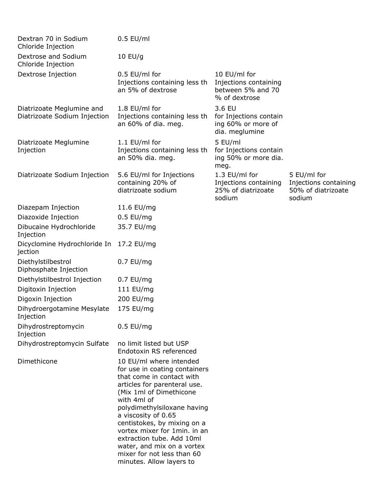| Dextran 70 in Sodium<br>Chloride Injection                | $0.5$ EU/ml                                                                                                                                                                                                                                                                                                                                                                                               |                                                                             |                                                                      |
|-----------------------------------------------------------|-----------------------------------------------------------------------------------------------------------------------------------------------------------------------------------------------------------------------------------------------------------------------------------------------------------------------------------------------------------------------------------------------------------|-----------------------------------------------------------------------------|----------------------------------------------------------------------|
| Dextrose and Sodium<br>Chloride Injection                 | $10$ EU/g                                                                                                                                                                                                                                                                                                                                                                                                 |                                                                             |                                                                      |
| Dextrose Injection                                        | 0.5 EU/ml for<br>Injections containing less th<br>an 5% of dextrose                                                                                                                                                                                                                                                                                                                                       | 10 EU/ml for<br>Injections containing<br>between 5% and 70<br>% of dextrose |                                                                      |
| Diatrizoate Meglumine and<br>Diatrizoate Sodium Injection | 1.8 EU/ml for<br>Injections containing less th<br>an 60% of dia. meg.                                                                                                                                                                                                                                                                                                                                     | 3.6 EU<br>for Injections contain<br>ing 60% or more of<br>dia. meglumine    |                                                                      |
| Diatrizoate Meglumine<br>Injection                        | 1.1 EU/ml for<br>Injections containing less th<br>an 50% dia. meg.                                                                                                                                                                                                                                                                                                                                        | 5 EU/ml<br>for Injections contain<br>ing 50% or more dia.<br>meg.           |                                                                      |
| Diatrizoate Sodium Injection                              | 5.6 EU/ml for Injections<br>containing 20% of<br>diatrizoate sodium                                                                                                                                                                                                                                                                                                                                       | 1.3 EU/ml for<br>Injections containing<br>25% of diatrizoate<br>sodium      | 5 EU/ml for<br>Injections containing<br>50% of diatrizoate<br>sodium |
| Diazepam Injection                                        | 11.6 EU/mg                                                                                                                                                                                                                                                                                                                                                                                                |                                                                             |                                                                      |
| Diazoxide Injection                                       | $0.5$ EU/mg                                                                                                                                                                                                                                                                                                                                                                                               |                                                                             |                                                                      |
| Dibucaine Hydrochloride<br>Injection                      | 35.7 EU/mg                                                                                                                                                                                                                                                                                                                                                                                                |                                                                             |                                                                      |
| Dicyclomine Hydrochloride In<br>jection                   | 17.2 EU/mg                                                                                                                                                                                                                                                                                                                                                                                                |                                                                             |                                                                      |
| Diethylstilbestrol<br>Diphosphate Injection               | $0.7$ EU/mg                                                                                                                                                                                                                                                                                                                                                                                               |                                                                             |                                                                      |
| Diethylstilbestrol Injection                              | $0.7$ EU/mg                                                                                                                                                                                                                                                                                                                                                                                               |                                                                             |                                                                      |
| Digitoxin Injection                                       | 111 EU/mg                                                                                                                                                                                                                                                                                                                                                                                                 |                                                                             |                                                                      |
| Digoxin Injection                                         | 200 EU/mg                                                                                                                                                                                                                                                                                                                                                                                                 |                                                                             |                                                                      |
| Dihydroergotamine Mesylate<br>Injection                   | 175 EU/mg                                                                                                                                                                                                                                                                                                                                                                                                 |                                                                             |                                                                      |
| Dihydrostreptomycin<br>Injection                          | $0.5$ EU/mg                                                                                                                                                                                                                                                                                                                                                                                               |                                                                             |                                                                      |
| Dihydrostreptomycin Sulfate                               | no limit listed but USP<br>Endotoxin RS referenced                                                                                                                                                                                                                                                                                                                                                        |                                                                             |                                                                      |
| Dimethicone                                               | 10 EU/ml where intended<br>for use in coating containers<br>that come in contact with<br>articles for parenteral use.<br>(Mix 1ml of Dimethicone<br>with 4ml of<br>polydimethylsiloxane having<br>a viscosity of 0.65<br>centistokes, by mixing on a<br>vortex mixer for 1min. in an<br>extraction tube. Add 10ml<br>water, and mix on a vortex<br>mixer for not less than 60<br>minutes. Allow layers to |                                                                             |                                                                      |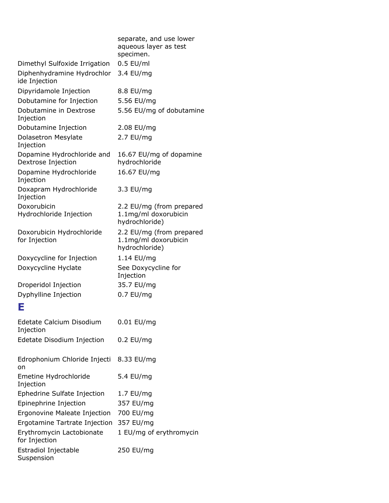|                                                  | separate, and use lower<br>aqueous layer as test<br>specimen.      |
|--------------------------------------------------|--------------------------------------------------------------------|
| Dimethyl Sulfoxide Irrigation                    | $0.5$ EU/ml                                                        |
| Diphenhydramine Hydrochlor<br>ide Injection      | 3.4 EU/mg                                                          |
| Dipyridamole Injection                           | 8.8 EU/mg                                                          |
| Dobutamine for Injection                         | 5.56 EU/mg                                                         |
| Dobutamine in Dextrose<br>Injection              | 5.56 EU/mg of dobutamine                                           |
| Dobutamine Injection                             | 2.08 EU/mg                                                         |
| Dolasetron Mesylate<br>Injection                 | 2.7 EU/mg                                                          |
| Dopamine Hydrochloride and<br>Dextrose Injection | 16.67 EU/mg of dopamine<br>hydrochloride                           |
| Dopamine Hydrochloride<br>Injection              | 16.67 EU/mg                                                        |
| Doxapram Hydrochloride<br>Injection              | 3.3 EU/mg                                                          |
| Doxorubicin<br>Hydrochloride Injection           | 2.2 EU/mg (from prepared<br>1.1mg/ml doxorubicin<br>hydrochloride) |
| Doxorubicin Hydrochloride<br>for Injection       | 2.2 EU/mg (from prepared<br>1.1mg/ml doxorubicin<br>hydrochloride) |
| Doxycycline for Injection                        | 1.14 EU/mg                                                         |
| Doxycycline Hyclate                              | See Doxycycline for<br>Injection                                   |
| Droperidol Injection                             | 35.7 EU/mg                                                         |
| Dyphylline Injection                             | $0.7$ EU/mg                                                        |
| Е                                                |                                                                    |
| Edetate Calcium Disodium<br>Injection            | $0.01$ EU/mg                                                       |
| Edetate Disodium Injection                       | $0.2$ EU/mg                                                        |
| Edrophonium Chloride Injecti<br>on               | 8.33 EU/mg                                                         |
| Emetine Hydrochloride<br>Injection               | 5.4 EU/mg                                                          |
| Ephedrine Sulfate Injection                      | 1.7 EU/mg                                                          |
| Epinephrine Injection                            | 357 EU/mg                                                          |
| Ergonovine Maleate Injection                     | 700 EU/mg                                                          |
| Ergotamine Tartrate Injection                    | 357 EU/mg                                                          |
| Erythromycin Lactobionate<br>for Injection       | 1 EU/mg of erythromycin                                            |
| Estradiol Injectable<br>Suspension               | 250 EU/mg                                                          |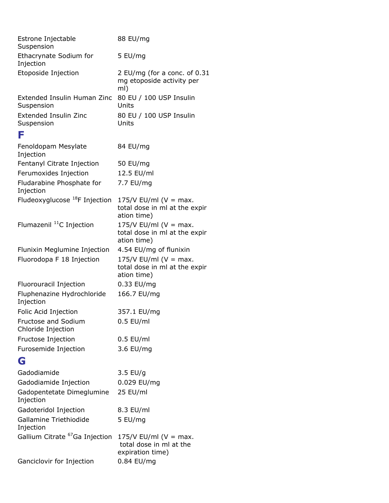| Estrone Injectable<br>Suspension           | 88 EU/mg                                                                  |
|--------------------------------------------|---------------------------------------------------------------------------|
| Ethacrynate Sodium for<br>Injection        | 5 EU/mg                                                                   |
| Etoposide Injection                        | 2 EU/mg (for a conc. of 0.31<br>mg etoposide activity per<br>ml)          |
| Extended Insulin Human Zinc<br>Suspension  | 80 EU / 100 USP Insulin<br>Units                                          |
| Extended Insulin Zinc<br>Suspension        | 80 EU / 100 USP Insulin<br>Units                                          |
| F                                          |                                                                           |
| Fenoldopam Mesylate<br>Injection           | 84 EU/mg                                                                  |
| Fentanyl Citrate Injection                 | 50 EU/mg                                                                  |
| Ferumoxides Injection                      | 12.5 EU/ml                                                                |
| Fludarabine Phosphate for<br>Injection     | 7.7 EU/mg                                                                 |
| Fludeoxyglucose <sup>18</sup> F Injection  | 175/V EU/ml ( $V = max$ .<br>total dose in ml at the expir<br>ation time) |
| Flumazenil <sup>11</sup> C Injection       | $175/V$ EU/ml (V = max.<br>total dose in ml at the expir<br>ation time)   |
| Flunixin Meglumine Injection               | 4.54 EU/mg of flunixin                                                    |
| Fluorodopa F 18 Injection                  | 175/V EU/ml ( $V = max$ .<br>total dose in ml at the expir<br>ation time) |
| Fluorouracil Injection                     | 0.33 EU/mg                                                                |
| Fluphenazine Hydrochloride<br>Injection    | 166.7 EU/mg                                                               |
| Folic Acid Injection                       | 357.1 EU/mg                                                               |
| Fructose and Sodium<br>Chloride Injection  | $0.5$ EU/ml                                                               |
| Fructose Injection                         | $0.5$ EU/ml                                                               |
| Furosemide Injection                       | 3.6 EU/mg                                                                 |
| G                                          |                                                                           |
| Gadodiamide                                | $3.5$ EU/g                                                                |
| Gadodiamide Injection                      | 0.029 EU/mg                                                               |
| Gadopentetate Dimeglumine<br>Injection     | 25 EU/ml                                                                  |
| Gadoteridol Injection                      | 8.3 EU/ml                                                                 |
| Gallamine Triethiodide<br>Injection        | 5 EU/mg                                                                   |
| Gallium Citrate <sup>67</sup> Ga Injection | 175/V EU/ml ( $V = max$ .<br>total dose in ml at the<br>expiration time)  |
| Ganciclovir for Injection                  | 0.84 EU/mg                                                                |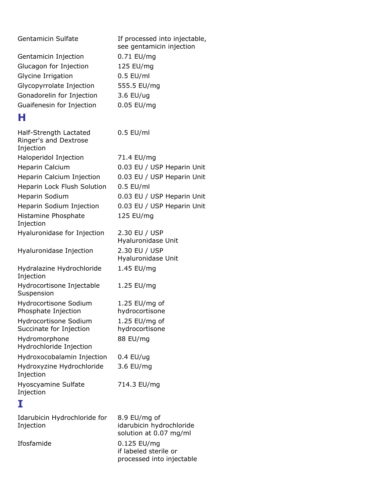| <b>Gentamicin Sulfate</b>                                    | If processed into injectable,<br>see gentamicin injection |
|--------------------------------------------------------------|-----------------------------------------------------------|
| Gentamicin Injection                                         | 0.71 EU/mg                                                |
| Glucagon for Injection                                       | 125 EU/mg                                                 |
| Glycine Irrigation                                           | $0.5$ EU/ml                                               |
| Glycopyrrolate Injection                                     | 555.5 EU/mg                                               |
| Gonadorelin for Injection                                    | 3.6 EU/ug                                                 |
|                                                              |                                                           |
| Guaifenesin for Injection                                    | 0.05 EU/mg                                                |
| н                                                            |                                                           |
| Half-Strength Lactated<br>Ringer's and Dextrose<br>Injection | $0.5$ EU/ml                                               |
| Haloperidol Injection                                        | 71.4 EU/mg                                                |
| Heparin Calcium                                              | 0.03 EU / USP Heparin Unit                                |
| Heparin Calcium Injection                                    | 0.03 EU / USP Heparin Unit                                |
| Heparin Lock Flush Solution                                  | $0.5$ EU/ml                                               |
| Heparin Sodium                                               | 0.03 EU / USP Heparin Unit                                |
| Heparin Sodium Injection                                     | 0.03 EU / USP Heparin Unit                                |
| Histamine Phosphate<br>Injection                             | 125 EU/mg                                                 |
| Hyaluronidase for Injection                                  | 2.30 EU / USP                                             |
|                                                              | Hyaluronidase Unit                                        |
| Hyaluronidase Injection                                      | 2.30 EU / USP                                             |
|                                                              | Hyaluronidase Unit                                        |
| Hydralazine Hydrochloride<br>Injection                       | 1.45 EU/mg                                                |
| Hydrocortisone Injectable<br>Suspension                      | 1.25 EU/mg                                                |
| Hydrocortisone Sodium                                        | 1.25 EU/mg of                                             |
| Phosphate Injection                                          | hydrocortisone                                            |
| Hydrocortisone Sodium                                        | 1.25 $EU/mg$ of                                           |
| Succinate for Injection                                      | hydrocortisone                                            |
| Hydromorphone<br>Hydrochloride Injection                     | 88 EU/mg                                                  |
| Hydroxocobalamin Injection                                   | $0.4$ EU/ug                                               |
| Hydroxyzine Hydrochloride<br>Injection                       | 3.6 EU/mg                                                 |
| Hyoscyamine Sulfate<br>Injection                             | 714.3 EU/mg                                               |
| I                                                            |                                                           |
| Idarubicin Hydrochloride for                                 | 8.9 EU/mg of                                              |
| Injection                                                    | idarubicin hydrochloride<br>solution at 0.07 mg/ml        |
| Ifosfamide                                                   | 0.125 EU/mg<br>if labeled sterile or                      |

processed into injectable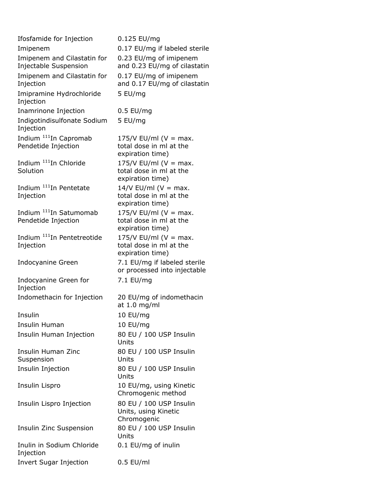| Ifosfamide for Injection                             | 0.125 EU/mg                                                    |
|------------------------------------------------------|----------------------------------------------------------------|
| Imipenem                                             | 0.17 EU/mg if labeled sterile                                  |
| Imipenem and Cilastatin for<br>Injectable Suspension | 0.23 EU/mg of imipenem<br>and 0.23 EU/mg of cilastatin         |
| Imipenem and Cilastatin for<br>Injection             | 0.17 EU/mg of imipenem<br>and 0.17 EU/mg of cilastatin         |
| Imipramine Hydrochloride<br>Injection                | 5 EU/mg                                                        |
| Inamrinone Injection                                 | $0.5$ EU/mg                                                    |
| Indigotindisulfonate Sodium<br>Injection             | 5 EU/mg                                                        |
| Indium <sup>111</sup> In Capromab                    | $175/V$ EU/ml (V = max.                                        |
| Pendetide Injection                                  | total dose in ml at the                                        |
|                                                      | expiration time)                                               |
| Indium <sup>111</sup> In Chloride                    | 175/V EU/ml ( $V = max$ .                                      |
| Solution                                             | total dose in ml at the<br>expiration time)                    |
| Indium <sup>111</sup> In Pentetate                   | $14/V$ EU/ml (V = max.                                         |
| Injection                                            | total dose in ml at the                                        |
|                                                      | expiration time)                                               |
| Indium <sup>111</sup> In Satumomab                   | 175/V EU/ml ( $V = max$ .                                      |
| Pendetide Injection                                  | total dose in ml at the<br>expiration time)                    |
| Indium <sup>111</sup> In Pentetreotide               | 175/V EU/ml ( $V = max$ .                                      |
| Injection                                            | total dose in ml at the                                        |
|                                                      | expiration time)                                               |
| Indocyanine Green                                    | 7.1 EU/mg if labeled sterile<br>or processed into injectable   |
| Indocyanine Green for<br>Injection                   | 7.1 EU/mg                                                      |
| Indomethacin for Injection                           | 20 EU/mg of indomethacin<br>at 1.0 mg/ml                       |
| Insulin                                              | 10 EU/mg                                                       |
| Insulin Human                                        | 10 EU/mg                                                       |
| Insulin Human Injection                              | 80 EU / 100 USP Insulin<br>Units                               |
| Insulin Human Zinc                                   | 80 EU / 100 USP Insulin                                        |
| Suspension                                           | Units                                                          |
| Insulin Injection                                    | 80 EU / 100 USP Insulin<br>Units                               |
| Insulin Lispro                                       | 10 EU/mg, using Kinetic<br>Chromogenic method                  |
| Insulin Lispro Injection                             | 80 EU / 100 USP Insulin<br>Units, using Kinetic<br>Chromogenic |
| Insulin Zinc Suspension                              | 80 EU / 100 USP Insulin<br>Units                               |
| Inulin in Sodium Chloride<br>Injection               | 0.1 EU/mg of inulin                                            |
| <b>Invert Sugar Injection</b>                        | $0.5$ EU/ml                                                    |
|                                                      |                                                                |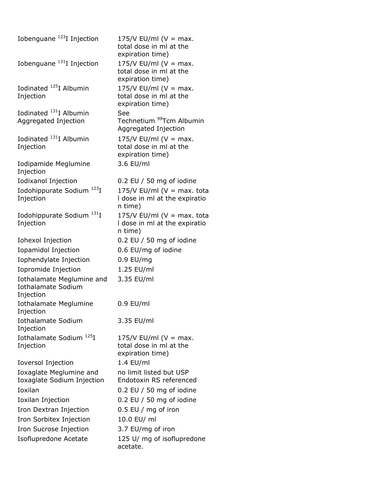| Iobenguane <sup>123</sup> I Injection                               | 175/V EU/ml ( $V = max$ .<br>total dose in ml at the<br>expiration time)   |
|---------------------------------------------------------------------|----------------------------------------------------------------------------|
| Iobenguane $^{131}$ I Injection                                     | $175/V$ EU/ml (V = max.<br>total dose in ml at the<br>expiration time)     |
| Iodinated <sup>125</sup> I Albumin<br>Injection                     | 175/V EU/ml ( $V = max$ .<br>total dose in ml at the<br>expiration time)   |
| Iodinated <sup>131</sup> I Albumin<br>Aggregated Injection          | See<br>Technetium <sup>99</sup> Tcm Albumin<br>Aggregated Injection        |
| Iodinated <sup>131</sup> I Albumin<br>Injection                     | 175/V EU/ml ( $V = max$ .<br>total dose in ml at the<br>expiration time)   |
| Iodipamide Meglumine<br>Injection                                   | 3.6 EU/ml                                                                  |
| Iodixanol Injection                                                 | 0.2 EU / 50 mg of iodine                                                   |
| 123 <sub>T</sub><br>Iodohippurate Sodium<br>Injection               | 175/V EU/ml ( $V = max$ . tota<br>I dose in ml at the expiratio<br>n time) |
| Iodohippurate Sodium <sup>131</sup> I<br>Injection                  | 175/V EU/ml ( $V = max$ . tota<br>I dose in ml at the expiratio<br>n time) |
| Iohexol Injection                                                   | $0.2$ EU / 50 mg of iodine                                                 |
| Iopamidol Injection                                                 | 0.6 EU/mg of iodine                                                        |
| Iophendylate Injection                                              | $0.9$ EU/mg                                                                |
| Iopromide Injection                                                 | 1.25 EU/ml                                                                 |
| Iothalamate Meglumine and<br><b>Iothalamate Sodium</b><br>Injection | 3.35 EU/ml                                                                 |
| Iothalamate Meglumine<br>Injection                                  | $0.9$ EU/ml                                                                |
| <b>Iothalamate Sodium</b><br>Injection                              | 3.35 EU/ml                                                                 |
| Iothalamate Sodium <sup>125</sup> I<br>Injection                    | 175/V EU/ml ( $V = max$ .<br>total dose in ml at the<br>expiration time)   |
| <b>Ioversol Injection</b>                                           | 1.4 EU/ml                                                                  |
| Ioxaglate Meglumine and<br>Ioxaglate Sodium Injection               | no limit listed but USP<br>Endotoxin RS referenced                         |
| Ioxilan                                                             | 0.2 EU $/$ 50 mg of iodine                                                 |
| Ioxilan Injection                                                   | 0.2 EU / 50 mg of iodine                                                   |
| Iron Dextran Injection                                              | 0.5 EU / mg of iron                                                        |
| Iron Sorbitex Injection                                             | 10.0 EU/ ml                                                                |
| Iron Sucrose Injection                                              | 3.7 EU/mg of iron                                                          |
| Isoflupredone Acetate                                               | 125 U/ mg of isoflupredone<br>acetate.                                     |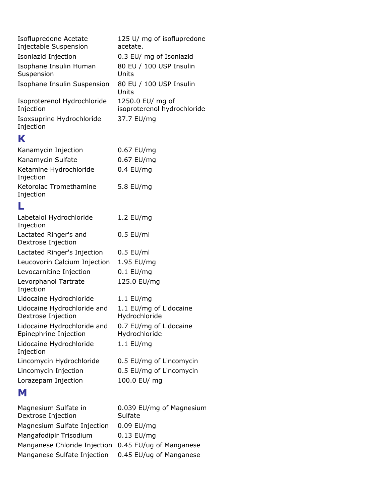| Isoflupredone Acetate                  | 125 U/ mg of isoflupredone       |
|----------------------------------------|----------------------------------|
| Injectable Suspension                  | acetate.                         |
| Isoniazid Injection                    | 0.3 EU/ mg of Isoniazid          |
| Isophane Insulin Human                 | 80 EU / 100 USP Insulin          |
| Suspension                             | Units                            |
| Isophane Insulin Suspension            | 80 EU / 100 USP Insulin<br>Units |
| Isoproterenol Hydrochloride            | 1250.0 EU/ mg of                 |
| Injection                              | isoproterenol hydrochloride      |
| Isoxsuprine Hydrochloride<br>Injection | 37.7 EU/mg                       |

#### **K**

| Kanamycin Injection                 | 0.67 EU/mg  |
|-------------------------------------|-------------|
| Kanamycin Sulfate                   | 0.67 EU/mg  |
| Ketamine Hydrochloride<br>Injection | $0.4$ EU/mq |
| Ketorolac Tromethamine<br>Injection | 5.8 EU/mg   |
|                                     |             |

### **L**

| Labetalol Hydrochloride<br>Injection                 | 1.2 EU/mg                               |
|------------------------------------------------------|-----------------------------------------|
| Lactated Ringer's and<br>Dextrose Injection          | $0.5$ EU/ml                             |
| Lactated Ringer's Injection                          | $0.5$ EU/ml                             |
| Leucovorin Calcium Injection                         | 1.95 EU/mg                              |
| Levocarnitine Injection                              | $0.1$ EU/mg                             |
| Levorphanol Tartrate<br>Injection                    | 125.0 EU/mg                             |
| Lidocaine Hydrochloride                              | $1.1$ EU/mg                             |
| Lidocaine Hydrochloride and<br>Dextrose Injection    | 1.1 EU/mg of Lidocaine<br>Hydrochloride |
| Lidocaine Hydrochloride and<br>Epinephrine Injection | 0.7 EU/mg of Lidocaine<br>Hydrochloride |
| Lidocaine Hydrochloride<br>Injection                 | $1.1$ EU/mg                             |
| Lincomycin Hydrochloride                             | 0.5 EU/mg of Lincomycin                 |
| Lincomycin Injection                                 | 0.5 EU/mg of Lincomycin                 |
| Lorazepam Injection                                  | 100.0 EU/ mg                            |
|                                                      |                                         |

#### **M**

| Magnesium Sulfate in<br>Dextrose Injection           | 0.039 EU/mg of Magnesium<br>Sulfate |
|------------------------------------------------------|-------------------------------------|
| Magnesium Sulfate Injection                          | 0.09 EU/mg                          |
| Mangafodipir Trisodium                               | $0.13$ EU/mg                        |
| Manganese Chloride Injection 0.45 EU/ug of Manganese |                                     |
| Manganese Sulfate Injection                          | 0.45 EU/ug of Manganese             |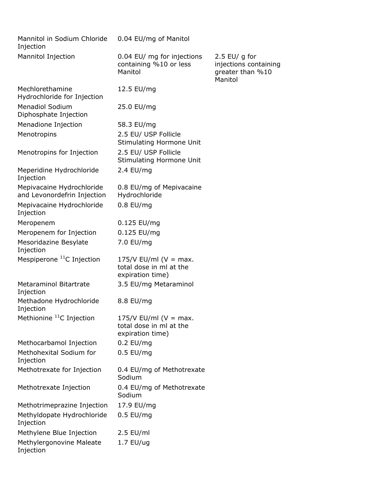| Mannitol in Sodium Chloride<br>Injection                 | 0.04 EU/mg of Manitol                                                    |                                                                       |
|----------------------------------------------------------|--------------------------------------------------------------------------|-----------------------------------------------------------------------|
| Mannitol Injection                                       | 0.04 EU/ mg for injections<br>containing %10 or less<br>Manitol          | 2.5 EU/ g for<br>injections containing<br>greater than %10<br>Manitol |
| Mechlorethamine<br>Hydrochloride for Injection           | 12.5 EU/mg                                                               |                                                                       |
| <b>Menadiol Sodium</b><br>Diphosphate Injection          | 25.0 EU/mg                                                               |                                                                       |
| Menadione Injection                                      | 58.3 EU/mg                                                               |                                                                       |
| Menotropins                                              | 2.5 EU/ USP Follicle<br>Stimulating Hormone Unit                         |                                                                       |
| Menotropins for Injection                                | 2.5 EU/ USP Follicle<br>Stimulating Hormone Unit                         |                                                                       |
| Meperidine Hydrochloride<br>Injection                    | 2.4 EU/mg                                                                |                                                                       |
| Mepivacaine Hydrochloride<br>and Levonordefrin Injection | 0.8 EU/mg of Mepivacaine<br>Hydrochloride                                |                                                                       |
| Mepivacaine Hydrochloride<br>Injection                   | $0.8$ EU/mg                                                              |                                                                       |
| Meropenem                                                | 0.125 EU/mg                                                              |                                                                       |
| Meropenem for Injection                                  | 0.125 EU/mg                                                              |                                                                       |
| Mesoridazine Besylate<br>Injection                       | 7.0 EU/mg                                                                |                                                                       |
| Mespiperone <sup>11</sup> C Injection                    | 175/V EU/ml ( $V = max$ .<br>total dose in ml at the<br>expiration time) |                                                                       |
| <b>Metaraminol Bitartrate</b><br>Injection               | 3.5 EU/mg Metaraminol                                                    |                                                                       |
| Methadone Hydrochloride<br>Injection                     | 8.8 EU/mg                                                                |                                                                       |
| Methionine <sup>11</sup> C Injection                     | 175/V EU/ml ( $V = max$ .<br>total dose in ml at the<br>expiration time) |                                                                       |
| Methocarbamol Injection                                  | $0.2$ EU/mg                                                              |                                                                       |
| Methohexital Sodium for<br>Injection                     | $0.5$ EU/mg                                                              |                                                                       |
| Methotrexate for Injection                               | 0.4 EU/mg of Methotrexate<br>Sodium                                      |                                                                       |
| Methotrexate Injection                                   | 0.4 EU/mg of Methotrexate<br>Sodium                                      |                                                                       |
| Methotrimeprazine Injection                              | 17.9 EU/mg                                                               |                                                                       |
| Methyldopate Hydrochloride<br>Injection                  | $0.5$ EU/mg                                                              |                                                                       |
| Methylene Blue Injection                                 | $2.5$ EU/ml                                                              |                                                                       |
| Methylergonovine Maleate<br>Injection                    | $1.7$ EU/ug                                                              |                                                                       |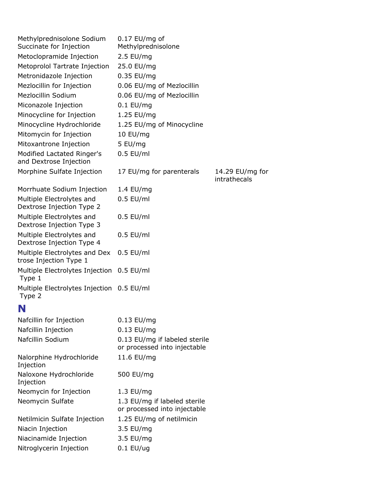| Methylprednisolone Sodium<br>Succinate for Injection    | $0.17$ EU/mg of<br>Methylprednisolone                         |                                 |
|---------------------------------------------------------|---------------------------------------------------------------|---------------------------------|
| Metoclopramide Injection                                | $2.5$ EU/mg                                                   |                                 |
| Metoprolol Tartrate Injection                           | 25.0 EU/mg                                                    |                                 |
| Metronidazole Injection                                 | 0.35 EU/mg                                                    |                                 |
| Mezlocillin for Injection                               | 0.06 EU/mg of Mezlocillin                                     |                                 |
| Mezlocillin Sodium                                      | 0.06 EU/mg of Mezlocillin                                     |                                 |
| Miconazole Injection                                    | $0.1$ EU/mg                                                   |                                 |
| Minocycline for Injection                               | 1.25 EU/mg                                                    |                                 |
| Minocycline Hydrochloride                               | 1.25 EU/mg of Minocycline                                     |                                 |
| Mitomycin for Injection                                 | 10 EU/mg                                                      |                                 |
| Mitoxantrone Injection                                  | 5 EU/mg                                                       |                                 |
| Modified Lactated Ringer's<br>and Dextrose Injection    | $0.5$ EU/ml                                                   |                                 |
| Morphine Sulfate Injection                              | 17 EU/mg for parenterals                                      | 14.29 EU/mg for<br>intrathecals |
| Morrhuate Sodium Injection                              | 1.4 EU/mg                                                     |                                 |
| Multiple Electrolytes and<br>Dextrose Injection Type 2  | $0.5$ EU/ml                                                   |                                 |
| Multiple Electrolytes and<br>Dextrose Injection Type 3  | $0.5$ EU/ml                                                   |                                 |
| Multiple Electrolytes and<br>Dextrose Injection Type 4  | $0.5$ EU/ml                                                   |                                 |
| Multiple Electrolytes and Dex<br>trose Injection Type 1 | $0.5$ EU/ml                                                   |                                 |
| Multiple Electrolytes Injection 0.5 EU/ml<br>Type 1     |                                                               |                                 |
| Multiple Electrolytes Injection 0.5 EU/ml<br>Type 2     |                                                               |                                 |
| N                                                       |                                                               |                                 |
| Nafcillin for Injection                                 | 0.13 EU/mg                                                    |                                 |
| Nafcillin Injection                                     | 0.13 EU/mg                                                    |                                 |
| Nafcillin Sodium                                        | 0.13 EU/mg if labeled sterile<br>or processed into injectable |                                 |
| Nalorphine Hydrochloride<br>Injection                   | 11.6 EU/mg                                                    |                                 |
| Naloxone Hydrochloride<br>Injection                     | 500 EU/mg                                                     |                                 |
| Neomycin for Injection                                  | 1.3 EU/mg                                                     |                                 |
| Neomycin Sulfate                                        | 1.3 EU/mg if labeled sterile<br>or processed into injectable  |                                 |
| Netilmicin Sulfate Injection                            | 1.25 EU/mg of netilmicin                                      |                                 |
| Niacin Injection                                        | 3.5 EU/mg                                                     |                                 |
| Niacinamide Injection                                   | 3.5 EU/mg                                                     |                                 |
| Nitroglycerin Injection                                 | $0.1$ EU/ug                                                   |                                 |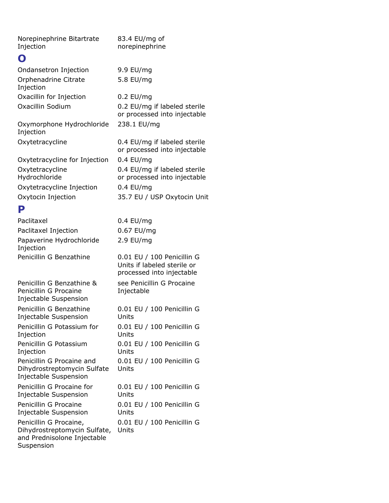Norepinephrine Bitartrate Injection

#### **O**

| U                                      |                                                              |
|----------------------------------------|--------------------------------------------------------------|
| Ondansetron Injection                  | 9.9 EU/mg                                                    |
| Orphenadrine Citrate<br>Injection      | 5.8 EU/mg                                                    |
| Oxacillin for Injection                | $0.2$ EU/mg                                                  |
| Oxacillin Sodium                       | 0.2 EU/mg if labeled sterile<br>or processed into injectable |
| Oxymorphone Hydrochloride<br>Injection | 238.1 EU/mg                                                  |
| Oxytetracycline                        | 0.4 EU/mg if labeled sterile<br>or processed into injectable |
| Oxytetracycline for Injection          | $0.4$ EU/mg                                                  |
| Oxytetracycline<br>Hydrochloride       | 0.4 EU/mg if labeled sterile<br>or processed into injectable |
| Oxytetracycline Injection              | $0.4$ EU/mg                                                  |
| Oxytocin Injection                     | 35.7 EU / USP Oxytocin Unit                                  |
| P                                      |                                                              |
| Paclitaxel                             | 0.4 EU/mg                                                    |
| Paclitavel Injection                   | $0.67$ FU/ma                                                 |

83.4 EU/mg of norepinephrine

| гаснсалы                                                                                            | 0.4 LU/IIIY                                                                            |
|-----------------------------------------------------------------------------------------------------|----------------------------------------------------------------------------------------|
| Paclitaxel Injection                                                                                | 0.67 EU/mg                                                                             |
| Papaverine Hydrochloride<br>Injection                                                               | $2.9$ EU/mg                                                                            |
| Penicillin G Benzathine                                                                             | 0.01 EU / 100 Penicillin G<br>Units if labeled sterile or<br>processed into injectable |
| Penicillin G Benzathine &<br>Penicillin G Procaine<br>Injectable Suspension                         | see Penicillin G Procaine<br>Injectable                                                |
| Penicillin G Benzathine<br>Injectable Suspension                                                    | 0.01 EU / 100 Penicillin G<br>Units                                                    |
| Penicillin G Potassium for<br>Injection                                                             | 0.01 EU / 100 Penicillin G<br>Units                                                    |
| Penicillin G Potassium<br>Injection                                                                 | 0.01 EU / 100 Penicillin G<br>Units                                                    |
| Penicillin G Procaine and<br>Dihydrostreptomycin Sulfate<br>Injectable Suspension                   | 0.01 EU / 100 Penicillin G<br>Units                                                    |
| Penicillin G Procaine for<br>Injectable Suspension                                                  | 0.01 EU / 100 Penicillin G<br>Units                                                    |
| Penicillin G Procaine<br>Injectable Suspension                                                      | 0.01 EU / 100 Penicillin G<br>Units                                                    |
| Penicillin G Procaine,<br>Dihydrostreptomycin Sulfate,<br>and Prednisolone Injectable<br>Suspension | 0.01 EU / 100 Penicillin G<br>Units                                                    |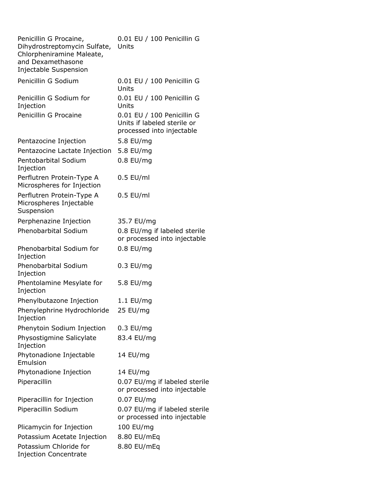| Penicillin G Procaine,<br>Dihydrostreptomycin Sulfate,<br>Chlorpheniramine Maleate,<br>and Dexamethasone<br>Injectable Suspension | 0.01 EU / 100 Penicillin G<br>Units                                                    |
|-----------------------------------------------------------------------------------------------------------------------------------|----------------------------------------------------------------------------------------|
| Penicillin G Sodium                                                                                                               | 0.01 EU / 100 Penicillin G<br>Units                                                    |
| Penicillin G Sodium for<br>Injection                                                                                              | 0.01 EU / 100 Penicillin G<br>Units                                                    |
| Penicillin G Procaine                                                                                                             | 0.01 EU / 100 Penicillin G<br>Units if labeled sterile or<br>processed into injectable |
| Pentazocine Injection                                                                                                             | 5.8 EU/mg                                                                              |
| Pentazocine Lactate Injection                                                                                                     | 5.8 EU/mg                                                                              |
| Pentobarbital Sodium<br>Injection                                                                                                 | $0.8$ EU/mq                                                                            |
| Perflutren Protein-Type A<br>Microspheres for Injection                                                                           | $0.5$ EU/ml                                                                            |
| Perflutren Protein-Type A<br>Microspheres Injectable<br>Suspension                                                                | $0.5$ EU/ml                                                                            |
| Perphenazine Injection                                                                                                            | 35.7 EU/mg                                                                             |
| <b>Phenobarbital Sodium</b>                                                                                                       | 0.8 EU/mg if labeled sterile<br>or processed into injectable                           |
| Phenobarbital Sodium for<br>Injection                                                                                             | $0.8$ EU/mg                                                                            |
| Phenobarbital Sodium<br>Injection                                                                                                 | $0.3$ EU/mg                                                                            |
| Phentolamine Mesylate for<br>Injection                                                                                            | 5.8 EU/mg                                                                              |
| Phenylbutazone Injection                                                                                                          | $1.1$ EU/mg                                                                            |
| Phenylephrine Hydrochloride<br>Injection                                                                                          | 25 EU/mg                                                                               |
| Phenytoin Sodium Injection                                                                                                        | $0.3$ EU/mg                                                                            |
| Physostigmine Salicylate<br>Injection                                                                                             | 83.4 EU/mg                                                                             |
| Phytonadione Injectable<br>Emulsion                                                                                               | 14 EU/mg                                                                               |
| Phytonadione Injection                                                                                                            | 14 EU/mg                                                                               |
| Piperacillin                                                                                                                      | 0.07 EU/mg if labeled sterile<br>or processed into injectable                          |
| Piperacillin for Injection                                                                                                        | 0.07 EU/mg                                                                             |
| Piperacillin Sodium                                                                                                               | 0.07 EU/mg if labeled sterile<br>or processed into injectable                          |
| Plicamycin for Injection                                                                                                          | 100 EU/mg                                                                              |
| Potassium Acetate Injection                                                                                                       | 8.80 EU/mEq                                                                            |
| Potassium Chloride for<br><b>Injection Concentrate</b>                                                                            | 8.80 EU/mEq                                                                            |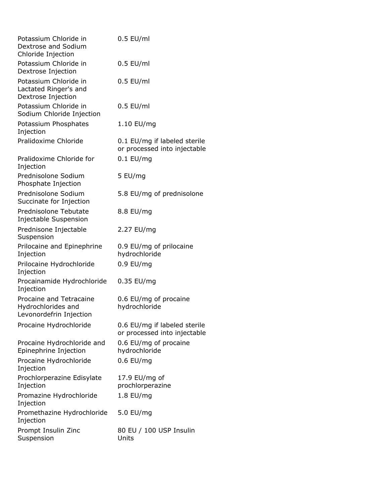| Potassium Chloride in<br>Dextrose and Sodium<br>Chloride Injection       | $0.5$ EU/ml                                                  |
|--------------------------------------------------------------------------|--------------------------------------------------------------|
| Potassium Chloride in<br>Dextrose Injection                              | $0.5$ EU/ml                                                  |
| Potassium Chloride in<br>Lactated Ringer's and<br>Dextrose Injection     | $0.5$ EU/ml                                                  |
| Potassium Chloride in<br>Sodium Chloride Injection                       | $0.5$ EU/ml                                                  |
| Potassium Phosphates<br>Injection                                        | 1.10 EU/mg                                                   |
| Pralidoxime Chloride                                                     | 0.1 EU/mg if labeled sterile<br>or processed into injectable |
| Pralidoxime Chloride for<br>Injection                                    | $0.1$ EU/mg                                                  |
| Prednisolone Sodium<br>Phosphate Injection                               | 5 EU/mg                                                      |
| Prednisolone Sodium<br>Succinate for Injection                           | 5.8 EU/mg of prednisolone                                    |
| Prednisolone Tebutate<br>Injectable Suspension                           | 8.8 EU/mg                                                    |
| Prednisone Injectable<br>Suspension                                      | 2.27 EU/mg                                                   |
| Prilocaine and Epinephrine<br>Injection                                  | 0.9 EU/mg of prilocaine<br>hydrochloride                     |
| Prilocaine Hydrochloride<br>Injection                                    | $0.9$ EU/mg                                                  |
| Procainamide Hydrochloride<br>Injection                                  | 0.35 EU/mg                                                   |
| Procaine and Tetracaine<br>Hydrochlorides and<br>Levonordefrin Injection | 0.6 EU/mg of procaine<br>hydrochloride                       |
| Procaine Hydrochloride                                                   | 0.6 EU/mg if labeled sterile<br>or processed into injectable |
| Procaine Hydrochloride and<br>Epinephrine Injection                      | 0.6 EU/mg of procaine<br>hydrochloride                       |
| Procaine Hydrochloride<br>Injection                                      | $0.6$ EU/mg                                                  |
| Prochlorperazine Edisylate<br>Injection                                  | 17.9 EU/mg of<br>prochlorperazine                            |
| Promazine Hydrochloride<br>Injection                                     | 1.8 EU/mg                                                    |
| Promethazine Hydrochloride<br>Injection                                  | 5.0 EU/mg                                                    |
| Prompt Insulin Zinc<br>Suspension                                        | 80 EU / 100 USP Insulin<br>Units                             |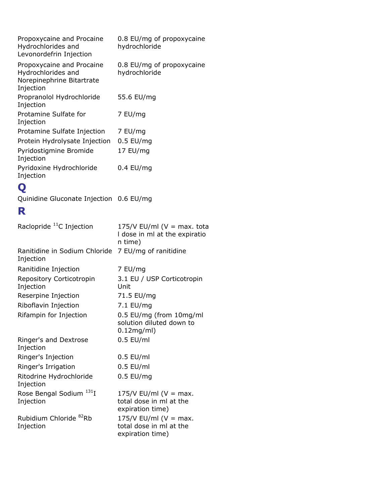| Propoxycaine and Procaine<br>Hydrochlorides and<br>Levonordefrin Injection                | 0.8 EU/mg of propoxycaine<br>hydrochloride |
|-------------------------------------------------------------------------------------------|--------------------------------------------|
| Propoxycaine and Procaine<br>Hydrochlorides and<br>Norepinephrine Bitartrate<br>Injection | 0.8 EU/mg of propoxycaine<br>hydrochloride |
| Propranolol Hydrochloride<br>Injection                                                    | 55.6 EU/mg                                 |
| Protamine Sulfate for<br>Injection                                                        | 7 EU/mg                                    |
| Protamine Sulfate Injection                                                               | 7 EU/mg                                    |
| Protein Hydrolysate Injection                                                             | $0.5$ EU/mg                                |
| Pyridostigmine Bromide<br>Injection                                                       | 17 EU/mg                                   |
| Pyridoxine Hydrochloride<br>Injection                                                     | $0.4$ EU/mg                                |
|                                                                                           |                                            |

## **Q**

Quinidine Gluconate Injection 0.6 EU/mg

### **R**

| Raclopride <sup>11</sup> C Injection             | 175/V EU/ml ( $V = max$ . tota<br>I dose in ml at the expiratio<br>n time) |
|--------------------------------------------------|----------------------------------------------------------------------------|
| Ranitidine in Sodium Chloride<br>Injection       | 7 EU/mg of ranitidine                                                      |
| Ranitidine Injection                             | 7 EU/mg                                                                    |
| Repository Corticotropin<br>Injection            | 3.1 EU / USP Corticotropin<br>Unit                                         |
| Reserpine Injection                              | 71.5 EU/mg                                                                 |
| Riboflavin Injection                             | 7.1 EU/mg                                                                  |
| Rifampin for Injection                           | 0.5 EU/mg (from 10mg/ml<br>solution diluted down to<br>$0.12$ mg/ml)       |
| Ringer's and Dextrose<br>Injection               | $0.5$ EU/ml                                                                |
| Ringer's Injection                               | $0.5$ EU/ml                                                                |
| Ringer's Irrigation                              | $0.5$ EU/ml                                                                |
| Ritodrine Hydrochloride<br>Injection             | $0.5$ EU/mg                                                                |
| Rose Bengal Sodium <sup>131</sup> I<br>Injection | 175/V EU/ml ( $V = max$ .<br>total dose in ml at the<br>expiration time)   |
| Rubidium Chloride <sup>82</sup> Rb<br>Injection  | 175/V EU/ml ( $V = max$ .<br>total dose in ml at the<br>expiration time)   |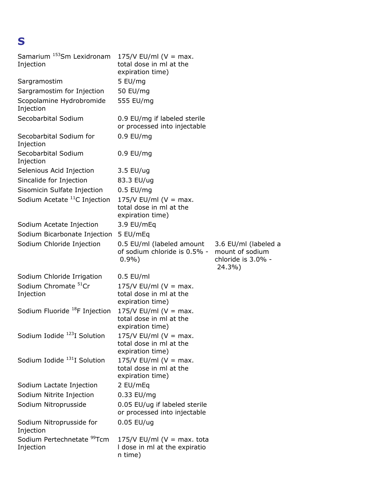## **S**

| Samarium <sup>153</sup> Sm Lexidronam<br>Injection  | 175/V EU/ml ( $V = max$ .<br>total dose in ml at the<br>expiration time)   |                                                                         |
|-----------------------------------------------------|----------------------------------------------------------------------------|-------------------------------------------------------------------------|
| Sargramostim                                        | 5 EU/mg                                                                    |                                                                         |
| Sargramostim for Injection                          | 50 EU/mg                                                                   |                                                                         |
| Scopolamine Hydrobromide<br>Injection               | 555 EU/mg                                                                  |                                                                         |
| Secobarbital Sodium                                 | 0.9 EU/mg if labeled sterile<br>or processed into injectable               |                                                                         |
| Secobarbital Sodium for<br>Injection                | $0.9$ EU/mg                                                                |                                                                         |
| Secobarbital Sodium<br>Injection                    | $0.9$ EU/mg                                                                |                                                                         |
| Selenious Acid Injection                            | 3.5 EU/ug                                                                  |                                                                         |
| Sincalide for Injection                             | 83.3 EU/ug                                                                 |                                                                         |
| Sisomicin Sulfate Injection                         | $0.5$ EU/mg                                                                |                                                                         |
| Sodium Acetate <sup>11</sup> C Injection            | 175/V EU/ml ( $V = max$ .<br>total dose in ml at the<br>expiration time)   |                                                                         |
| Sodium Acetate Injection                            | 3.9 EU/mEq                                                                 |                                                                         |
| Sodium Bicarbonate Injection                        | 5 EU/mEq                                                                   |                                                                         |
| Sodium Chloride Injection                           | 0.5 EU/ml (labeled amount<br>of sodium chloride is 0.5% -<br>$0.9\%$       | 3.6 EU/ml (labeled a<br>mount of sodium<br>chloride is 3.0% -<br>24.3%) |
| Sodium Chloride Irrigation                          | $0.5$ EU/ml                                                                |                                                                         |
| Sodium Chromate <sup>51</sup> Cr<br>Injection       | 175/V EU/ml ( $V = max$ .<br>total dose in ml at the<br>expiration time)   |                                                                         |
| Sodium Fluoride <sup>18</sup> F Injection           | 175/V EU/ml ( $V = max$ .<br>total dose in ml at the<br>expiration time)   |                                                                         |
| Sodium Iodide <sup>123</sup> I Solution             | 175/V EU/ml ( $V = max$ .<br>total dose in ml at the<br>expiration time)   |                                                                         |
| Sodium Iodide <sup>131</sup> I Solution             | 175/V EU/ml ( $V = max$ .<br>total dose in ml at the<br>expiration time)   |                                                                         |
| Sodium Lactate Injection                            | 2 EU/mEq                                                                   |                                                                         |
| Sodium Nitrite Injection                            | 0.33 EU/mg                                                                 |                                                                         |
| Sodium Nitroprusside                                | 0.05 EU/ug if labeled sterile<br>or processed into injectable              |                                                                         |
| Sodium Nitroprusside for<br>Injection               | $0.05$ EU/ug                                                               |                                                                         |
| Sodium Pertechnetate <sup>99</sup> Tcm<br>Injection | 175/V EU/ml ( $V = max$ . tota<br>I dose in ml at the expiratio<br>n time) |                                                                         |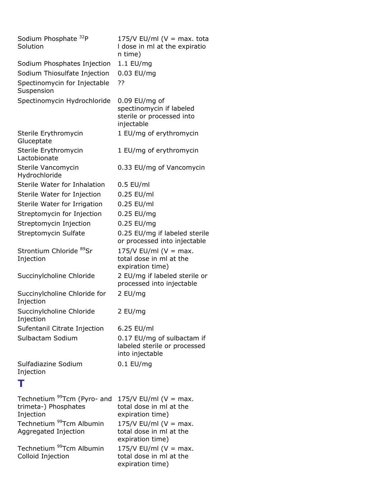| Sodium Phosphate <sup>32</sup> P<br>Solution                                                                                                 | 175/V EU/ml ( $V = max$ . tota<br>I dose in ml at the expiratio<br>n time)                                                                           |
|----------------------------------------------------------------------------------------------------------------------------------------------|------------------------------------------------------------------------------------------------------------------------------------------------------|
| Sodium Phosphates Injection                                                                                                                  | 1.1 EU/mg                                                                                                                                            |
| Sodium Thiosulfate Injection                                                                                                                 | 0.03 EU/mg                                                                                                                                           |
| Spectinomycin for Injectable<br>Suspension                                                                                                   | ??                                                                                                                                                   |
| Spectinomycin Hydrochloride                                                                                                                  | $0.09$ EU/mg of<br>spectinomycin if labeled<br>sterile or processed into<br>injectable                                                               |
| Sterile Erythromycin<br>Gluceptate                                                                                                           | 1 EU/mg of erythromycin                                                                                                                              |
| Sterile Erythromycin<br>Lactobionate                                                                                                         | 1 EU/mg of erythromycin                                                                                                                              |
| Sterile Vancomycin<br>Hydrochloride                                                                                                          | 0.33 EU/mg of Vancomycin                                                                                                                             |
| Sterile Water for Inhalation                                                                                                                 | $0.5$ EU/ml                                                                                                                                          |
| Sterile Water for Injection                                                                                                                  | 0.25 EU/ml                                                                                                                                           |
| Sterile Water for Irrigation                                                                                                                 | 0.25 EU/ml                                                                                                                                           |
| Streptomycin for Injection                                                                                                                   | 0.25 EU/mg                                                                                                                                           |
| Streptomycin Injection                                                                                                                       | 0.25 EU/mg                                                                                                                                           |
| Streptomycin Sulfate                                                                                                                         | 0.25 EU/mg if labeled sterile<br>or processed into injectable                                                                                        |
| Strontium Chloride 89Sr<br>Injection                                                                                                         | 175/V EU/ml ( $V = max$ .<br>total dose in ml at the<br>expiration time)                                                                             |
| Succinylcholine Chloride                                                                                                                     | 2 EU/mg if labeled sterile or<br>processed into injectable                                                                                           |
| Succinylcholine Chloride for<br>Injection                                                                                                    | 2 EU/mg                                                                                                                                              |
| Succinylcholine Chloride<br>Injection                                                                                                        | 2 EU/mg                                                                                                                                              |
| Sufentanil Citrate Injection                                                                                                                 | 6.25 EU/ml                                                                                                                                           |
| Sulbactam Sodium                                                                                                                             | 0.17 EU/mg of sulbactam if<br>labeled sterile or processed<br>into injectable                                                                        |
| Sulfadiazine Sodium<br>Injection                                                                                                             | $0.1$ EU/mg                                                                                                                                          |
| т                                                                                                                                            |                                                                                                                                                      |
| Technetium <sup>99</sup> Tcm (Pyro- and<br>trimeta-) Phosphates<br>Injection<br>Technetium <sup>99</sup> Tcm Albumin<br>Aggregated Injection | 175/V EU/ml ( $V = max$ .<br>total dose in ml at the<br>expiration time)<br>175/V EU/ml ( $V = max$ .<br>total dose in ml at the<br>expiration time) |
| Technetium <sup>99</sup> Tcm Albumin<br>Colloid Injection                                                                                    | 175/V EU/ml ( $V = max$ .<br>total dose in ml at the<br>expiration time)                                                                             |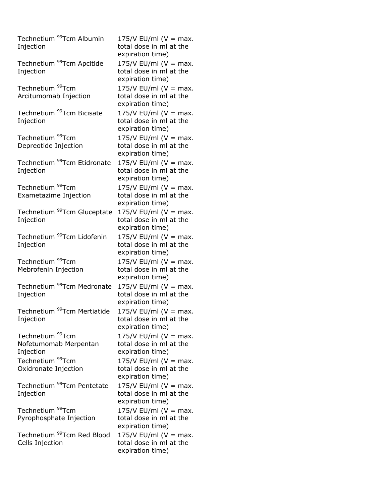| Technetium <sup>99</sup> Tcm Albumin<br>Injection                  | $175/V$ EU/ml (V = max.<br>total dose in ml at the<br>expiration time)   |
|--------------------------------------------------------------------|--------------------------------------------------------------------------|
| Technetium <sup>99</sup> Tcm Apcitide<br>Injection                 | $175/V$ EU/ml (V = max.<br>total dose in ml at the<br>expiration time)   |
| Technetium <sup>99</sup> Tcm<br>Arcitumomab Injection              | 175/V EU/ml ( $V = max$ .<br>total dose in ml at the<br>expiration time) |
| Technetium <sup>99</sup> Tcm Bicisate<br>Injection                 | $175/V$ EU/ml (V = max.<br>total dose in ml at the<br>expiration time)   |
| Technetium <sup>99</sup> Tcm<br>Depreotide Injection               | $175/V$ EU/ml (V = max.<br>total dose in ml at the<br>expiration time)   |
| Technetium <sup>99</sup> Tcm Etidronate<br>Injection               | $175/V$ EU/ml (V = max.<br>total dose in ml at the<br>expiration time)   |
| Technetium <sup>99</sup> Tcm<br>Exametazime Injection              | 175/V EU/ml ( $V = max$ .<br>total dose in ml at the<br>expiration time) |
| Technetium <sup>99</sup> Tcm Gluceptate<br>Injection               | 175/V EU/ml ( $V = max$ .<br>total dose in ml at the<br>expiration time) |
| Technetium <sup>99</sup> Tcm Lidofenin<br>Injection                | $175/V$ EU/ml (V = max.<br>total dose in ml at the<br>expiration time)   |
| Technetium <sup>99</sup> Tcm<br>Mebrofenin Injection               | $175/V$ EU/ml (V = max.<br>total dose in ml at the<br>expiration time)   |
| Technetium <sup>99</sup> Tcm Medronate<br>Injection                | 175/V EU/ml ( $V = max$ .<br>total dose in ml at the<br>expiration time) |
| Technetium <sup>99</sup> Tcm Mertiatide<br>Injection               | 175/V EU/ml (V = max.<br>total dose in ml at the<br>expiration time)     |
| Technetium <sup>99</sup> Tcm<br>Nofetumomab Merpentan<br>Injection | 175/V EU/ml ( $V = max$ .<br>total dose in ml at the<br>expiration time) |
| Technetium <sup>99</sup> Tcm<br>Oxidronate Injection               | $175/V$ EU/ml (V = max.<br>total dose in ml at the<br>expiration time)   |
| Technetium <sup>99</sup> Tcm Pentetate<br>Injection                | $175/V$ EU/ml (V = max.<br>total dose in ml at the<br>expiration time)   |
| Technetium <sup>99</sup> Tcm<br>Pyrophosphate Injection            | 175/V EU/ml (V = max.<br>total dose in ml at the<br>expiration time)     |
| Technetium <sup>99</sup> Tcm Red Blood<br>Cells Injection          | 175/V EU/ml ( $V = max$ .<br>total dose in ml at the<br>expiration time) |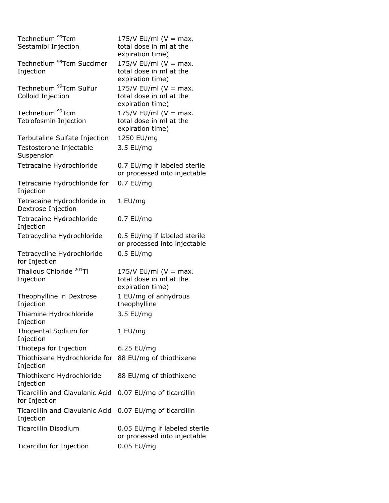| Technetium <sup>99</sup> Tcm<br>Sestamibi Injection      | 175/V EU/ml ( $V = max$ .<br>total dose in ml at the<br>expiration time) |
|----------------------------------------------------------|--------------------------------------------------------------------------|
| Technetium <sup>99</sup> Tcm Succimer<br>Injection       | 175/V EU/ml ( $V = max$ .<br>total dose in ml at the<br>expiration time) |
| Technetium <sup>99</sup> Tcm Sulfur<br>Colloid Injection | 175/V EU/ml ( $V = max$ .<br>total dose in ml at the<br>expiration time) |
| Technetium <sup>99</sup> Tcm<br>Tetrofosmin Injection    | 175/V EU/ml ( $V = max$ .<br>total dose in ml at the<br>expiration time) |
| Terbutaline Sulfate Injection                            | 1250 EU/mg                                                               |
| Testosterone Injectable<br>Suspension                    | 3.5 EU/mg                                                                |
| Tetracaine Hydrochloride                                 | 0.7 EU/mg if labeled sterile<br>or processed into injectable             |
| Tetracaine Hydrochloride for<br>Injection                | $0.7$ EU/mg                                                              |
| Tetracaine Hydrochloride in<br>Dextrose Injection        | 1 EU/mg                                                                  |
| Tetracaine Hydrochloride<br>Injection                    | 0.7 EU/mg                                                                |
| Tetracycline Hydrochloride                               | 0.5 EU/mg if labeled sterile<br>or processed into injectable             |
| Tetracycline Hydrochloride<br>for Injection              | $0.5$ EU/mg                                                              |
| Thallous Chloride <sup>201</sup> Tl<br>Injection         | 175/V EU/ml ( $V = max$ .<br>total dose in ml at the<br>expiration time) |
| Theophylline in Dextrose<br>Injection                    | 1 EU/mg of anhydrous<br>theophylline                                     |
| Thiamine Hydrochloride<br>Injection                      | 3.5 EU/mg                                                                |
| Thiopental Sodium for<br>Injection                       | 1 EU/mg                                                                  |
| Thiotepa for Injection                                   | 6.25 EU/mg                                                               |
| Thiothixene Hydrochloride for<br>Injection               | 88 EU/mg of thiothixene                                                  |
| Thiothixene Hydrochloride<br>Injection                   | 88 EU/mg of thiothixene                                                  |
| <b>Ticarcillin and Clavulanic Acid</b><br>for Injection  | 0.07 EU/mg of ticarcillin                                                |
| <b>Ticarcillin and Clavulanic Acid</b><br>Injection      | 0.07 EU/mg of ticarcillin                                                |
| <b>Ticarcillin Disodium</b>                              | 0.05 EU/mg if labeled sterile<br>or processed into injectable            |
| Ticarcillin for Injection                                | 0.05 EU/mg                                                               |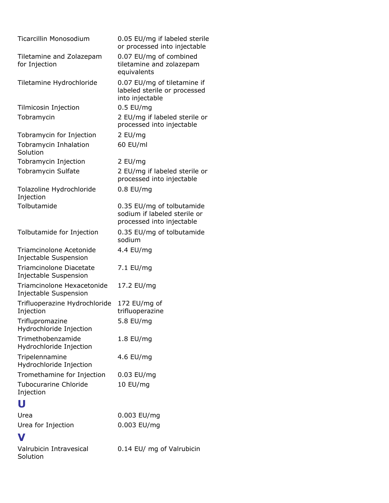| <b>Ticarcillin Monosodium</b>                           | 0.05 EU/mg if labeled sterile<br>or processed into injectable                          |
|---------------------------------------------------------|----------------------------------------------------------------------------------------|
| Tiletamine and Zolazepam<br>for Injection               | 0.07 EU/mg of combined<br>tiletamine and zolazepam<br>equivalents                      |
| Tiletamine Hydrochloride                                | 0.07 EU/mg of tiletamine if<br>labeled sterile or processed<br>into injectable         |
| Tilmicosin Injection                                    | $0.5$ EU/mg                                                                            |
| Tobramycin                                              | 2 EU/mg if labeled sterile or<br>processed into injectable                             |
| Tobramycin for Injection                                | 2 EU/mg                                                                                |
| Tobramycin Inhalation<br>Solution                       | 60 EU/ml                                                                               |
| Tobramycin Injection                                    | 2 EU/mg                                                                                |
| Tobramycin Sulfate                                      | 2 EU/mg if labeled sterile or<br>processed into injectable                             |
| Tolazoline Hydrochloride<br>Injection                   | $0.8$ EU/mg                                                                            |
| Tolbutamide                                             | 0.35 EU/mg of tolbutamide<br>sodium if labeled sterile or<br>processed into injectable |
| Tolbutamide for Injection                               | 0.35 EU/mg of tolbutamide<br>sodium                                                    |
| Triamcinolone Acetonide<br>Injectable Suspension        | 4.4 EU/mg                                                                              |
| <b>Triamcinolone Diacetate</b><br>Injectable Suspension | 7.1 EU/mg                                                                              |
| Triamcinolone Hexacetonide<br>Injectable Suspension     | 17.2 EU/mg                                                                             |
| Trifluoperazine Hydrochloride<br>Injection              | 172 EU/mg of<br>trifluoperazine                                                        |
| Triflupromazine<br>Hydrochloride Injection              | 5.8 EU/mg                                                                              |
| Trimethobenzamide<br>Hydrochloride Injection            | 1.8 EU/mg                                                                              |
| Tripelennamine<br>Hydrochloride Injection               | 4.6 EU/mg                                                                              |
| Tromethamine for Injection                              | $0.03$ EU/mg                                                                           |
| <b>Tubocurarine Chloride</b><br>Injection               | 10 EU/mg                                                                               |
| U                                                       |                                                                                        |
| Urea                                                    | 0.003 EU/mg                                                                            |
| Urea for Injection                                      | 0.003 EU/mg                                                                            |
| V                                                       |                                                                                        |
| Valrubicin Intravesical<br>Solution                     | 0.14 EU/ mg of Valrubicin                                                              |